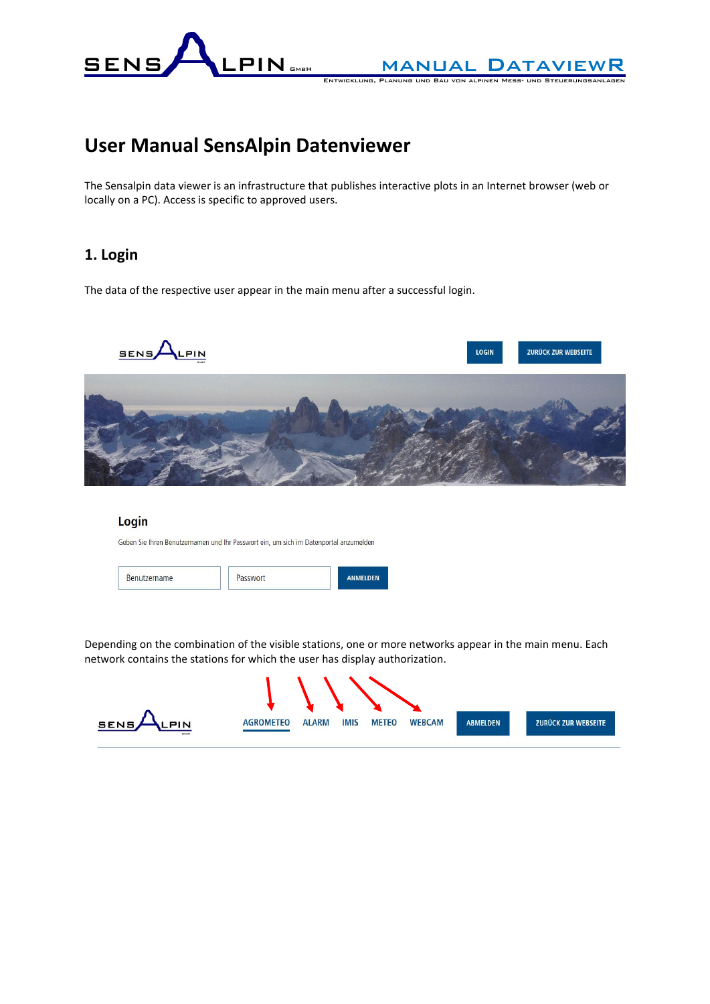

ENTWICKLUNG, PLANUNG UND BAU VON ALPINEN MESS

# **User Manual SensAlpin Datenviewer**

The Sensalpin data viewer is an infrastructure that publishes interactive plots in an Internet browser (web or locally on a PC). Access is specific to approved users.

# **1. Login**

The data of the respective user appear in the main menu after a successful login.



## Login

Geben Sie Ihren Benutzernamen und Ihr Passwort ein, um sich im Datenportal anzumelden

| ame<br>58. |  |  |
|------------|--|--|
|------------|--|--|

Depending on the combination of the visible stations, one or more networks appear in the main menu. Each network contains the stations for which the user has display authorization.

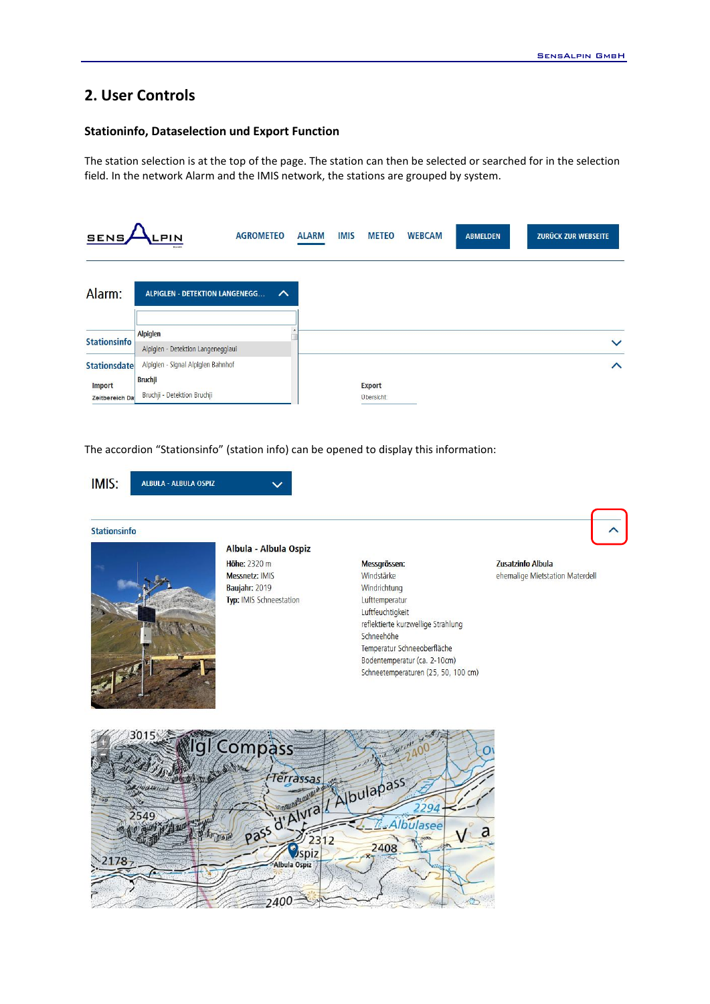# **2. User Controls**

## **Stationinfo, Dataselection und Export Function**

The station selection is at the top of the page. The station can then be selected or searched for in the selection field. In the network Alarm and the IMIS network, the stations are grouped by system.

| <b>SENS</b>                                            | <b>PIN</b><br>GMEH                                                                  | <b>AGROMETEO</b> |   | <b>ALARM</b> | <b>IMIS</b> | <b>METEO</b>                | <b>WEBCAM</b> | <b>ABMELDEN</b> | <b>ZURÜCK ZUR WEBSEITE</b> |
|--------------------------------------------------------|-------------------------------------------------------------------------------------|------------------|---|--------------|-------------|-----------------------------|---------------|-----------------|----------------------------|
| Alarm:                                                 | <b>ALPIGLEN - DETEKTION LANGENEGG</b>                                               |                  | ∧ |              |             |                             |               |                 |                            |
| <b>Stationsinfo</b>                                    | Alpiglen<br>Alpiglen - Detektion Langenegglaui                                      |                  |   |              |             |                             |               |                 | $\checkmark$               |
| <b>Stationsdate</b><br><b>Import</b><br>Zeitbereich Da | Alpiglen - Signal Alpiglen Bahnhof<br><b>Bruchji</b><br>Bruchji - Detektion Bruchji |                  |   |              |             | <b>Export</b><br>Übersicht: |               |                 | ∧                          |

The accordion "Stationsinfo" (station info) can be opened to display this information:



Schneetemperaturen (25, 50, 100 cm)

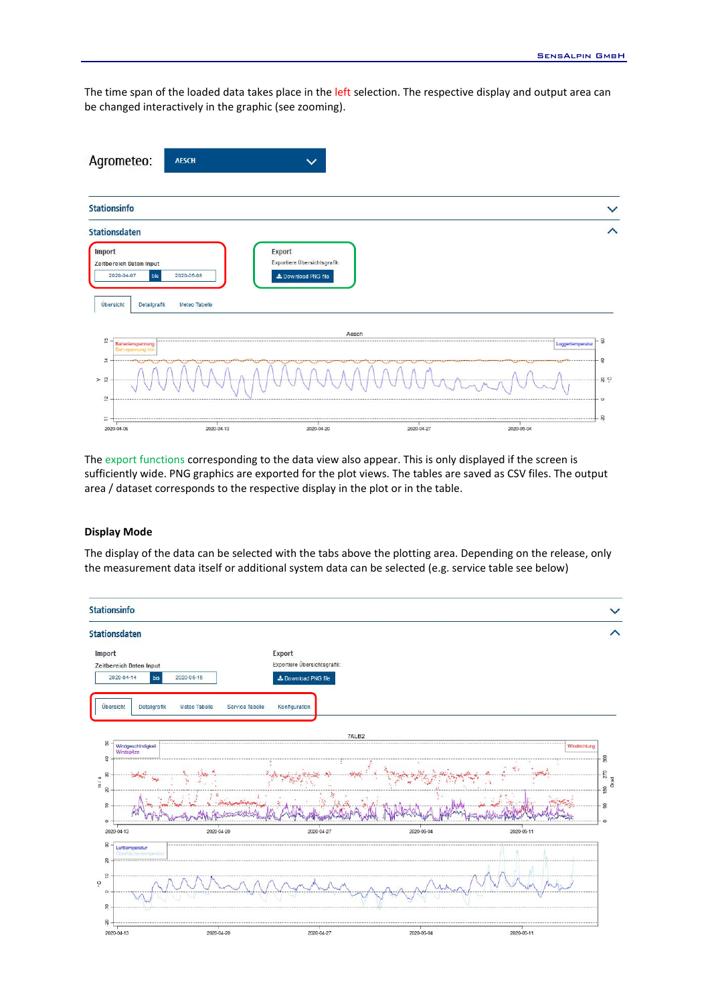The time span of the loaded data takes place in the left selection. The respective display and output area can be changed interactively in the graphic (see zooming).

| Stationsinfo                                                                                                       |                                                                      |                           |
|--------------------------------------------------------------------------------------------------------------------|----------------------------------------------------------------------|---------------------------|
| Stationsdaten                                                                                                      |                                                                      |                           |
| Import<br>Zeitbereich Daten Input<br>2020-04-07<br>2020-05-08<br>bis<br>Übersicht<br>Detailgrafik<br>Meteo Tabelle | <b>Export</b><br>Exportiere Übersichtsgrafik:<br>L Download PNG file |                           |
|                                                                                                                    | Aesch                                                                |                           |
| $\frac{15}{2}$<br><br>Batterienspannung<br>Batt-spannung min                                                       |                                                                      | 8<br><br>Loggertemperatur |
| 코<br>$>$ $\frac{m}{2}$                                                                                             |                                                                      | $\mathfrak{D}$<br>$-89$   |

The export functions corresponding to the data view also appear. This is only displayed if the screen is sufficiently wide. PNG graphics are exported for the plot views. The tables are saved as CSV files. The output area / dataset corresponds to the respective display in the plot or in the table.

### **Display Mode**

The display of the data can be selected with the tabs above the plotting area. Depending on the release, only the measurement data itself or additional system data can be selected (e.g. service table see below)

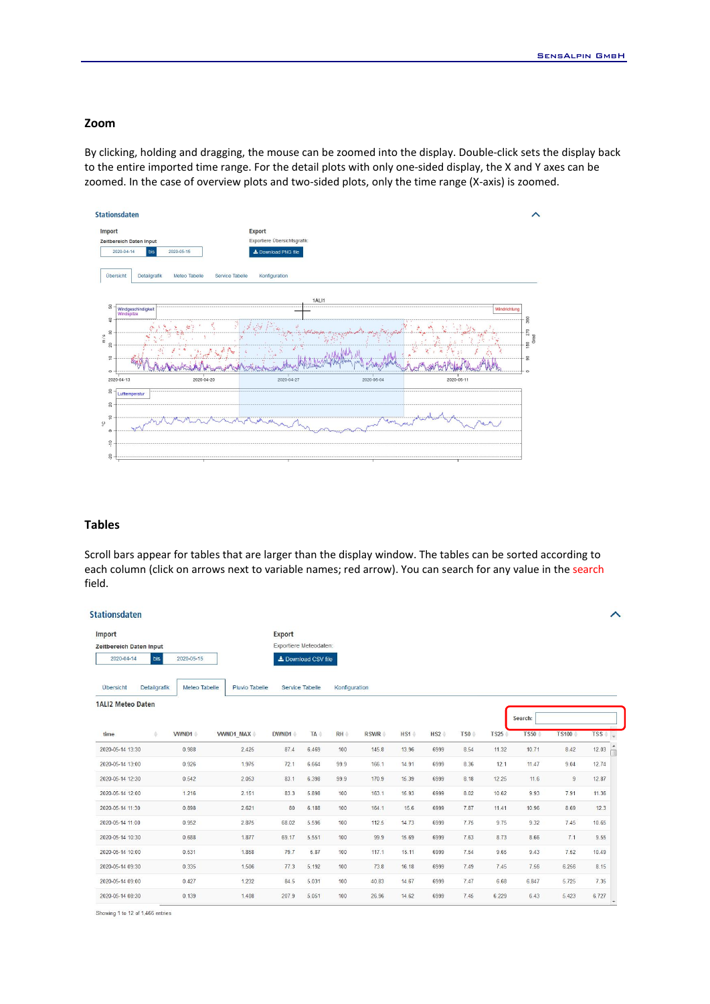### **Zoom**

By clicking, holding and dragging, the mouse can be zoomed into the display. Double-click sets the display back to the entire imported time range. For the detail plots with only one-sided display, the X and Y axes can be zoomed. In the case of overview plots and two-sided plots, only the time range (X-axis) is zoomed.

| <b>Import</b>                              | <b>Export</b>                    |            |              |
|--------------------------------------------|----------------------------------|------------|--------------|
| Zeitbereich Daten Input                    | Exportiere Übersichtsgrafik:     |            |              |
| 2020-04-14<br>bis<br>2020-05-15            | ≛ Download PNG file              |            |              |
| Übersicht<br>Meteo Tabelle<br>Detailgrafik | Service Tabelle<br>Konfiguration |            |              |
|                                            | 1ALI1                            |            |              |
| S<br>Windgeschindigkeit<br>Windspitze      |                                  |            | Windrichtung |
| å<br>$\overline{5}$                        |                                  |            |              |
| 20<br>$\frac{1}{2}$                        |                                  |            |              |
|                                            |                                  |            |              |
| 2020-04-20<br>2020-04-13                   | 2020-04-27                       | 2020-05-04 | 2020-05-11   |
| $_{\rm 50}$<br>Lufttemperatur              |                                  |            |              |
| 20                                         |                                  |            |              |
| $\frac{1}{2}$<br>$\circ$                   |                                  |            |              |
|                                            |                                  |            |              |

### **Tables**

Scroll bars appear for tables that are larger than the display window. The tables can be sorted according to each column (click on arrows next to variable names; red arrow). You can search for any value in the search field.

| <b>Stationsdaten</b>     |              |               |                  |                        |                     |               |             |         |         |         |             |             |                | ∧       |
|--------------------------|--------------|---------------|------------------|------------------------|---------------------|---------------|-------------|---------|---------|---------|-------------|-------------|----------------|---------|
| Import                   |              |               |                  | <b>Export</b>          |                     |               |             |         |         |         |             |             |                |         |
| Zeitbereich Daten Input  |              |               |                  | Exportiere Meteodaten: |                     |               |             |         |         |         |             |             |                |         |
| 2020-04-14               | bis          | 2020-05-15    |                  |                        | L Download CSV file |               |             |         |         |         |             |             |                |         |
| Übersicht                | Detailgrafik | Meteo Tabelle | Pluvio Tabelle   | Service Tabelle        |                     | Konfiguration |             |         |         |         |             |             |                |         |
| <b>1ALI2 Meteo Daten</b> |              |               |                  |                        |                     |               |             |         |         |         |             | Search:     |                |         |
| time                     | ÷.           | <b>VWND1</b>  | <b>VWND1_MAX</b> | DWND1                  | TA :                | RH            | <b>RSWR</b> | $HS1 =$ | $HS2 =$ | $TS0 =$ | <b>TS25</b> | <b>TS50</b> | <b>TS100</b>   | $TSS -$ |
| 2020-05-14 13:30         |              | 0.988         | 2.425            | 87.4                   | 6.469               | 100           | 145.8       | 13.96   | 6999    | 8.54    | 11.32       | 10.71       | 8.42           | 12.03   |
| 2020-05-14 13:00         |              | 0.926         | 1.975            | 72.1                   | 6.664               | 99.9          | 166.1       | 14.91   | 6999    | 8.36    | 12.1        | 11.47       | 9.04           | 12.74   |
| 2020-05-14 12:30         |              | 0.542         | 2.053            | 83.1                   | 6.398               | 99.9          | 170.9       | 15.39   | 6999    | 8.18    | 12.25       | 11.6        | $\overline{9}$ | 12.87   |
| 2020-05-14 12:00         |              | 1.216         | 2.151            | 83.3                   | 5.898               | 100           | 163.1       | 15.93   | 6999    | 8.02    | 10.62       | 9.93        | 7.91           | 11.36   |
| 2020-05-14 11:30         |              | 0.898         | 2.621            | 80                     | 6.188               | 100           | 164.1       | 15.6    | 6999    | 7.87    | 11.41       | 10.96       | 8.69           | 12.3    |
| 2020-05-14 11:00         |              | 0.952         | 2.875            | 68.02                  | 5.596               | 100           | 112.5       | 14.73   | 6999    | 7.75    | 9.75        | 9.32        | 7.45           | 10.65   |
| 2020-05-14 10:30         |              | 0.688         | 1.877            | 69.17                  | 5.551               | 100           | 99.9        | 15.69   | 6999    | 7.63    | 8.73        | 8.66        | 7.1            | 9.55    |
| 2020-05-14 10:00         |              | 0.531         | 1.858            | 79.7                   | 5.87                | 100           | 117.1       | 15.11   | 6999    | 7.54    | 9.65        | 9.43        | 7.52           | 10.49   |
| 2020-05-14 09:30         |              | 0.335         | 1.506            | 77.3                   | 5.192               | 100           | 73.8        | 16.18   | 6999    | 7.49    | 7.45        | 7.56        | 6.256          | 8.15    |
| 2020-05-14 09:00         |              | 0.427         | 1.232            | 84.5                   | 5.031               | 100           | 40.83       | 14.67   | 6999    | 7.47    | 6.68        | 6.847       | 5.725          | 7.35    |
| 2020-05-14 08:30         |              | 0.139         | 1.408            | 207.9                  | 5.051               | 100           | 26.96       | 14.62   | 6999    | 7.45    | 6.229       | 6.43        | 5.423          | 6.727   |

Showing 1 to 12 of 1,466 entries